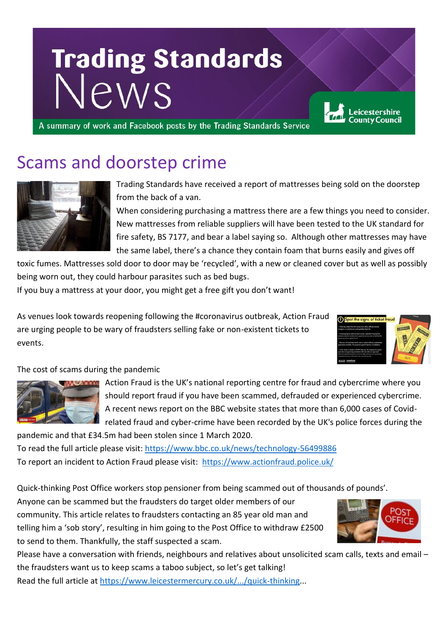# **Trading Standards** Jews

A summary of work and Facebook posts by the Trading Standards Service

### Scams and doorstep crime



Trading Standards have received a report of mattresses being sold on the doorstep from the back of a van.

When considering purchasing a mattress there are a few things you need to consider. New mattresses from reliable suppliers will have been tested to the UK standard for fire safety, BS 7177, and bear a label saying so. Although other mattresses may have the same label, there's a chance they contain foam that burns easily and gives off

toxic fumes. Mattresses sold door to door may be 'recycled', with a new or cleaned cover but as well as possibly being worn out, they could harbour parasites such as bed bugs.

If you buy a mattress at your door, you might get a free gift you don't want!

As venues look towards reopening following the #coronavirus outbreak, Action Fraud are urging people to be wary of fraudsters selling fake or non-existent tickets to events.



eicestershire

The cost of scams during the pandemic



Action Fraud is the UK's national reporting centre for fraud and cybercrime where you should report fraud if you have been scammed, defrauded or experienced cybercrime. A recent news report on the BBC website states that more than 6,000 cases of Covidrelated fraud and cyber-crime have been recorded by the UK's police forces during the

pandemic and that £34.5m had been stolen since 1 March 2020. To read the full article please visit:<https://www.bbc.co.uk/news/technology-56499886> To report an incident to Action Fraud please visit: <https://www.actionfraud.police.uk/>

Quick-thinking Post Office workers stop pensioner from being scammed out of thousands of pounds'.

Anyone can be scammed but the fraudsters do target older members of our community. This article relates to fraudsters contacting an 85 year old man and telling him a 'sob story', resulting in him going to the Post Office to withdraw £2500 to send to them. Thankfully, the staff suspected a scam.



Please have a conversation with friends, neighbours and relatives about unsolicited scam calls, texts and email – the fraudsters want us to keep scams a taboo subject, so let's get talking! Read the full article at [https://www.leicestermercury.co.uk/.../quick-thinking.](https://www.leicestermercury.co.uk/.../quick-thinking)..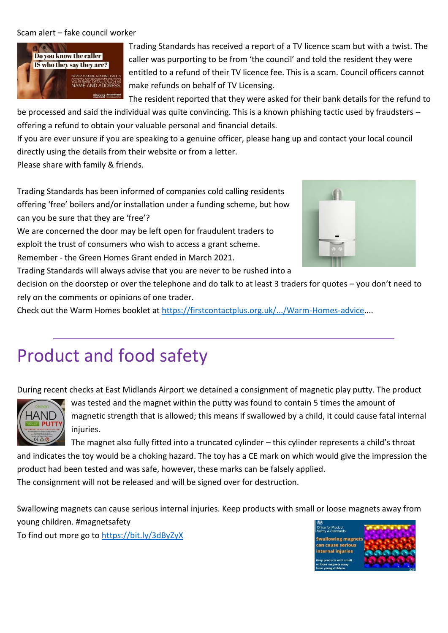Scam alert – fake council worker



Trading Standards has received a report of a TV licence scam but with a twist. The caller was purporting to be from 'the council' and told the resident they were entitled to a refund of their TV licence fee. This is a scam. Council officers cannot make refunds on behalf of TV Licensing.

The resident reported that they were asked for their bank details for the refund to

be processed and said the individual was quite convincing. This is a known phishing tactic used by fraudsters – offering a refund to obtain your valuable personal and financial details.

If you are ever unsure if you are speaking to a genuine officer, please hang up and contact your local council directly using the details from their website or from a letter.

Please share with family & friends.

Trading Standards has been informed of companies cold calling residents offering 'free' boilers and/or installation under a funding scheme, but how can you be sure that they are 'free'?

We are concerned the door may be left open for fraudulent traders to exploit the trust of consumers who wish to access a grant scheme. Remember - the Green Homes Grant ended in March 2021.

Trading Standards will always advise that you are never to be rushed into a

decision on the doorstep or over the telephone and do talk to at least 3 traders for quotes – you don't need to rely on the comments or opinions of one trader.

Check out the Warm Homes booklet at [https://firstcontactplus.org.uk/.../Warm-Homes-advice.](https://firstcontactplus.org.uk/.../Warm-Homes-advice)...

### Product and food safety

During recent checks at East Midlands Airport we detained a consignment of magnetic play putty. The product



was tested and the magnet within the putty was found to contain 5 times the amount of magnetic strength that is allowed; this means if swallowed by a child, it could cause fatal internal injuries.

The magnet also fully fitted into a truncated cylinder – this cylinder represents a child's throat and indicates the toy would be a choking hazard. The toy has a CE mark on which would give the impression the product had been tested and was safe, however, these marks can be falsely applied.

The consignment will not be released and will be signed over for destruction.

Swallowing magnets can cause serious internal injuries. Keep products with small or loose magnets away from young children. #magnetsafety

To find out more go to<https://bit.ly/3dByZyX>

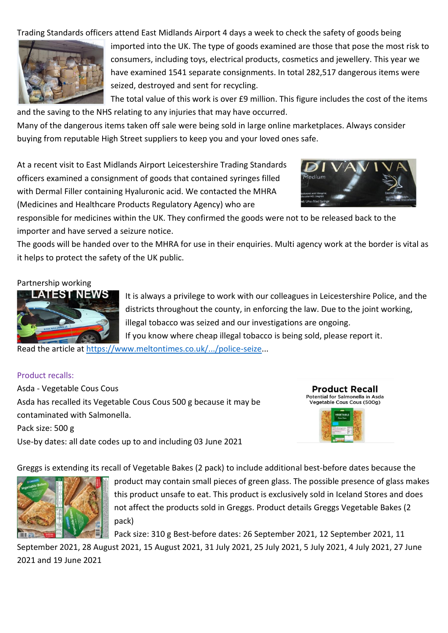Trading Standards officers attend East Midlands Airport 4 days a week to check the safety of goods being



imported into the UK. The type of goods examined are those that pose the most risk to consumers, including toys, electrical products, cosmetics and jewellery. This year we have examined 1541 separate consignments. In total 282,517 dangerous items were seized, destroyed and sent for recycling.

The total value of this work is over £9 million. This figure includes the cost of the items and the saving to the NHS relating to any injuries that may have occurred.

Many of the dangerous items taken off sale were being sold in large online marketplaces. Always consider buying from reputable High Street suppliers to keep you and your loved ones safe.

At a recent visit to East Midlands Airport Leicestershire Trading Standards officers examined a consignment of goods that contained syringes filled with Dermal Filler containing Hyaluronic acid. We contacted the MHRA (Medicines and Healthcare Products Regulatory Agency) who are



responsible for medicines within the UK. They confirmed the goods were not to be released back to the importer and have served a seizure notice.

The goods will be handed over to the MHRA for use in their enquiries. Multi agency work at the border is vital as it helps to protect the safety of the UK public.

#### Partnership working



It is always a privilege to work with our colleagues in Leicestershire Police, and the districts throughout the county, in enforcing the law. Due to the joint working, illegal tobacco was seized and our investigations are ongoing. If you know where cheap illegal tobacco is being sold, please report it.

Read the article at [https://www.meltontimes.co.uk/.../police-seize.](https://www.meltontimes.co.uk/.../police-seize)..

#### Product recalls:

Asda - Vegetable Cous Cous Asda has recalled its Vegetable Cous Cous 500 g because it may be contaminated with Salmonella. Pack size: 500 g Use-by dates: all date codes up to and including 03 June 2021



Greggs is extending its recall of Vegetable Bakes (2 pack) to include additional best-before dates because the



product may contain small pieces of green glass. The possible presence of glass makes this product unsafe to eat. This product is exclusively sold in Iceland Stores and does not affect the products sold in Greggs. Product details Greggs Vegetable Bakes (2 pack)

Pack size: 310 g Best-before dates: 26 September 2021, 12 September 2021, 11

September 2021, 28 August 2021, 15 August 2021, 31 July 2021, 25 July 2021, 5 July 2021, 4 July 2021, 27 June 2021 and 19 June 2021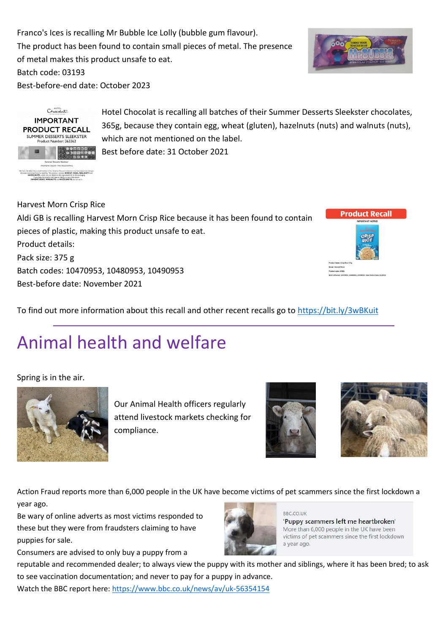Franco's Ices is recalling Mr Bubble Ice Lolly (bubble gum flavour). The product has been found to contain small pieces of metal. The presence of metal makes this product unsafe to eat.

Batch code: 03193

Best-before-end date: October 2023





Hotel Chocolat is recalling all batches of their Summer Desserts Sleekster chocolates, 365g, because they contain egg, wheat (gluten), hazelnuts (nuts) and walnuts (nuts), which are not mentioned on the label.

Best before date: 31 October 2021

Harvest Morn Crisp Rice

Aldi GB is recalling Harvest Morn Crisp Rice because it has been found to contain pieces of plastic, making this product unsafe to eat. Product details: Pack size: 375 g Batch codes: 10470953, 10480953, 10490953 Best-before date: November 2021



To find out more information about this recall and other recent recalls go to<https://bit.ly/3wBKuit>

## Animal health and welfare

Spring is in the air.



Our Animal Health officers regularly attend livestock markets checking for compliance.





Action Fraud reports more than 6,000 people in the UK have become victims of pet scammers since the first lockdown a year ago.

Be wary of online adverts as most victims responded to these but they were from fraudsters claiming to have puppies for sale.

Consumers are advised to only buy a puppy from a



BRC COLIK 'Puppy scammers left me heartbroken' More than 6,000 people in the UK have been victims of pet scammers since the first lockdown a year ago.

reputable and recommended dealer; to always view the puppy with its mother and siblings, where it has been bred; to ask to see vaccination documentation; and never to pay for a puppy in advance. Watch the BBC report here:<https://www.bbc.co.uk/news/av/uk-56354154>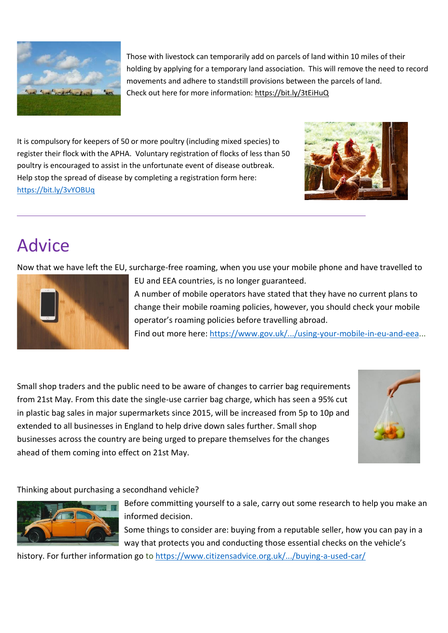

Those with livestock can temporarily add on parcels of land within 10 miles of their holding by applying for a temporary land association. This will remove the need to record movements and adhere to standstill provisions between the parcels of land. Check out here for more information[: https://bit.ly/3tEiHuQ](https://bit.ly/3tEiHuQ) 

It is compulsory for keepers of 50 or more poultry (including mixed species) to register their flock with the APHA. Voluntary registration of flocks of less than 50 poultry is encouraged to assist in the unfortunate event of disease outbreak. Help stop the spread of disease by completing a registration form here: <https://bit.ly/3vYOBUq>



### Advice

Now that we have left the EU, surcharge-free roaming, when you use your mobile phone and have travelled to



EU and EEA countries, is no longer guaranteed.

A number of mobile operators have stated that they have no current plans to change their mobile roaming policies, however, you should check your mobile operator's roaming policies before travelling abroad.

Find out more here[: https://www.gov.uk/.../using-your-mobile-in-eu-and-eea.](https://www.gov.uk/.../using-your-mobile-in-eu-and-eea)..

Small shop traders and the public need to be aware of changes to carrier bag requirements from 21st May. From this date the single-use carrier bag charge, which has seen a 95% cut in plastic bag sales in major supermarkets since 2015, will be increased from 5p to 10p and extended to all businesses in England to help drive down sales further. Small shop businesses across the country are being urged to prepare themselves for the changes ahead of them coming into effect on 21st May.



Thinking about purchasing a secondhand vehicle?



Before committing yourself to a sale, carry out some research to help you make an informed decision.

Some things to consider are: buying from a reputable seller, how you can pay in a way that protects you and conducting those essential checks on the vehicle's

history. For further information go to <https://www.citizensadvice.org.uk/.../buying-a-used-car/>